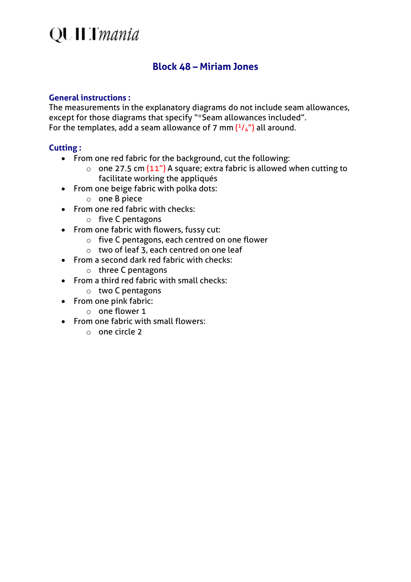### **QUILT** mania

### **Block 48 – Miriam Jones**

#### **General instructions :**

The measurements in the explanatory diagrams do not include seam allowances, except for those diagrams that specify "\*Seam allowances included". For the templates, add a seam allowance of 7 mm  $(^{1}/_{4}$ ") all around.

#### **Cutting :**

- From one red fabric for the background, cut the following:
	- $\circ$  one 27.5 cm (11") A square; extra fabric is allowed when cutting to facilitate working the appliqués
- From one beige fabric with polka dots:
	- o one B piece
- From one red fabric with checks:
	- o five C pentagons
- From one fabric with flowers, fussy cut:
	- o five C pentagons, each centred on one flower
	- $\circ$  two of leaf 3, each centred on one leaf
- From a second dark red fabric with checks:
	- o three C pentagons
- From a third red fabric with small checks:
	- o two C pentagons
- From one pink fabric:
	- o one flower 1
- From one fabric with small flowers:
	- o one circle 2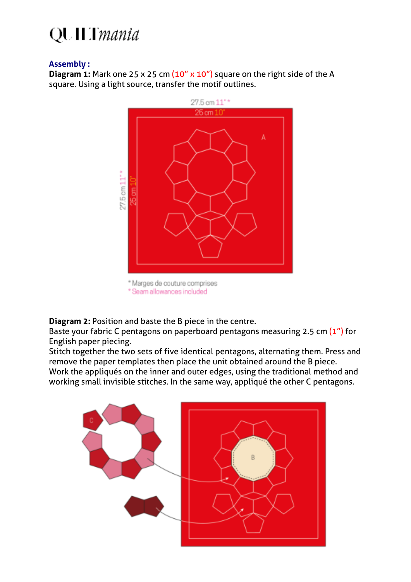# **QUILT** mania

#### **Assembly :**

**Diagram 1:** Mark one 25 x 25 cm (10" x 10") square on the right side of the A square. Using a light source, transfer the motif outlines.



**Diagram 2:** Position and baste the B piece in the centre.

Baste your fabric C pentagons on paperboard pentagons measuring 2.5 cm (1") for English paper piecing.

Stitch together the two sets of five identical pentagons, alternating them. Press and remove the paper templates then place the unit obtained around the B piece. Work the appliqués on the inner and outer edges, using the traditional method and working small invisible stitches. In the same way, appliqué the other C pentagons.